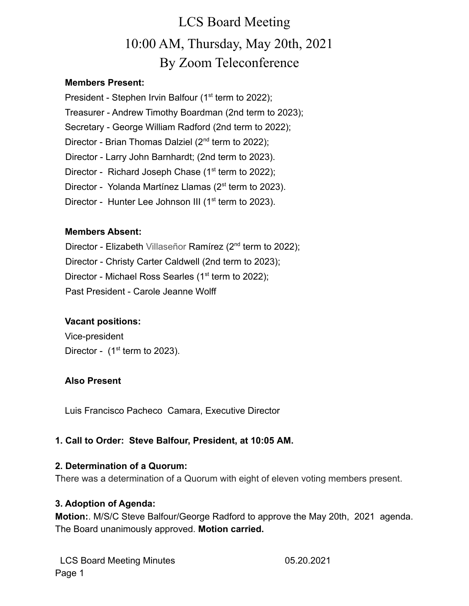### **Members Present:**

President - Stephen Irvin Balfour (1<sup>st</sup> term to 2022); Treasurer - Andrew Timothy Boardman (2nd term to 2023); Secretary - George William Radford (2nd term to 2022); Director - Brian Thomas Dalziel (2<sup>nd</sup> term to 2022); Director - Larry John Barnhardt; (2nd term to 2023). Director - Richard Joseph Chase (1<sup>st</sup> term to 2022); Director - Yolanda Martínez Llamas (2<sup>st</sup> term to 2023). Director - Hunter Lee Johnson III ( $1<sup>st</sup>$  term to 2023).

### **Members Absent:**

- Director Elizabeth Villaseñor Ramírez (2<sup>nd</sup> term to 2022);
- Director Christy Carter Caldwell (2nd term to 2023);
- Director Michael Ross Searles (1<sup>st</sup> term to 2022);
- Past President Carole Jeanne Wolff

## **Vacant positions:**

Vice-president Director -  $(1<sup>st</sup>$  term to 2023).

## **Also Present**

Luis Francisco Pacheco Camara, Executive Director

## **1. Call to Order: Steve Balfour, President, at 10:05 AM.**

### **2. Determination of a Quorum:**

There was a determination of a Quorum with eight of eleven voting members present.

### **3. Adoption of Agenda:**

**Motion:**. M/S/C Steve Balfour/George Radford to approve the May 20th, 2021 agenda. The Board unanimously approved. **Motion carried.**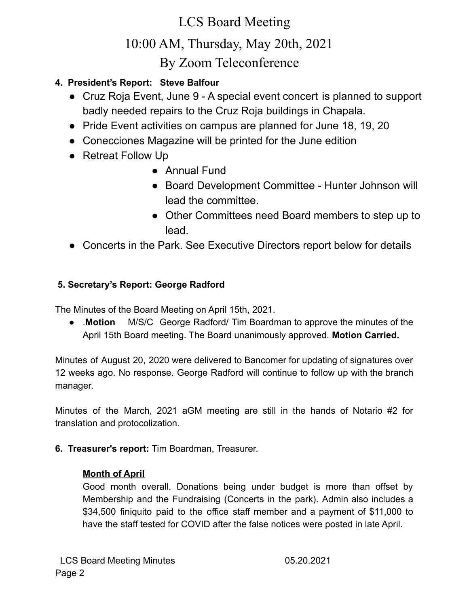## **4. President's Report: Steve Balfour**

- Cruz Roja Event, June 9 A special event concert is planned to support badly needed repairs to the Cruz Roja buildings in Chapala.
- Pride Event activities on campus are planned for June 18, 19, 20
- Conecciones Magazine will be printed for the June edition
- Retreat Follow Up
	- Annual Fund
	- Board Development Committee Hunter Johnson will lead the committee.
	- Other Committees need Board members to step up to lead.
- Concerts in the Park. See Executive Directors report below for details

## **5. Secretary's Report: George Radford**

The Minutes of the Board Meeting on April 15th, 2021.

● .**Motion** M/S/C George Radford/ Tim Boardman to approve the minutes of the April 15th Board meeting. The Board unanimously approved. **Motion Carried.**

Minutes of August 20, 2020 were delivered to Bancomer for updating of signatures over 12 weeks ago. No response. George Radford will continue to follow up with the branch manager.

Minutes of the March, 2021 aGM meeting are still in the hands of Notario #2 for translation and protocolization.

**6. Treasurer's report:** Tim Boardman, Treasurer.

### **Month of April**

Good month overall. Donations being under budget is more than offset by Membership and the Fundraising (Concerts in the park). Admin also includes a \$34,500 finiquito paid to the office staff member and a payment of \$11,000 to have the staff tested for COVID after the false notices were posted in late April.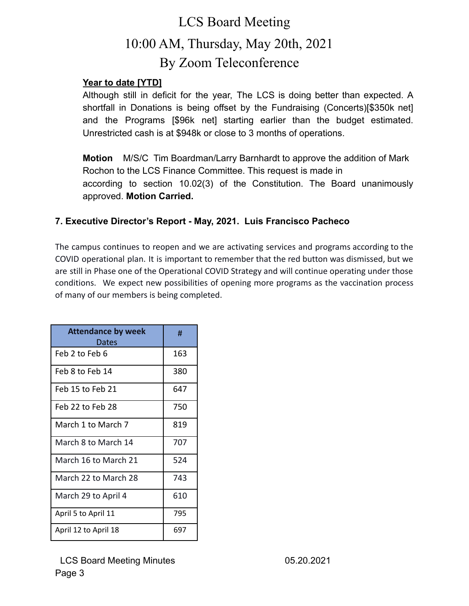### **Year to date [YTD]**

Although still in deficit for the year, The LCS is doing better than expected. A shortfall in Donations is being offset by the Fundraising (Concerts)[\$350k net] and the Programs [\$96k net] starting earlier than the budget estimated. Unrestricted cash is at \$948k or close to 3 months of operations.

**Motion** M/S/C Tim Boardman/Larry Barnhardt to approve the addition of Mark Rochon to the LCS Finance Committee. This request is made in according to section 10.02(3) of the Constitution. The Board unanimously approved. **Motion Carried.**

### **7. Executive Director's Report - May, 2021. Luis Francisco Pacheco**

The campus continues to reopen and we are activating services and programs according to the COVID operational plan. It is important to remember that the red button was dismissed, but we are still in Phase one of the Operational COVID Strategy and will continue operating under those conditions. We expect new possibilities of opening more programs as the vaccination process of many of our members is being completed.

| <b>Attendance by week</b><br>Dates | #   |
|------------------------------------|-----|
| Feb 2 to Feb 6                     | 163 |
| Feb 8 to Feb 14                    | 380 |
| Feb 15 to Feb 21                   | 647 |
| Feb 22 to Feb 28                   | 750 |
| March 1 to March 7                 | 819 |
| March 8 to March 14                | 707 |
| March 16 to March 21               | 524 |
| March 22 to March 28               | 743 |
| March 29 to April 4                | 610 |
| April 5 to April 11                | 795 |
| April 12 to April 18               | 697 |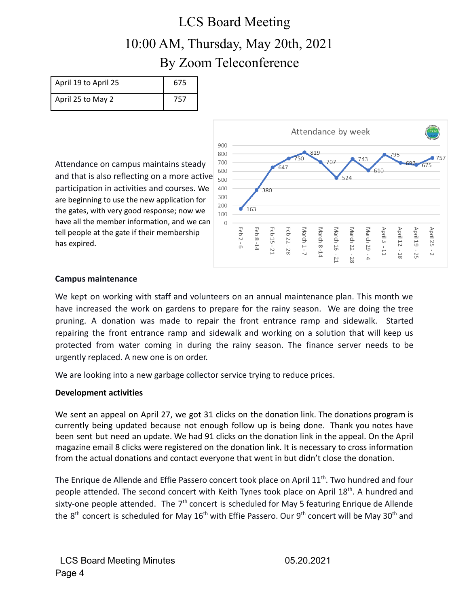| April 19 to April 25 | 675 |
|----------------------|-----|
| April 25 to May 2    | 757 |

Attendance on campus maintains steady and that is also reflecting on a more active participation in activities and courses. We are beginning to use the new application for the gates, with very good response; now we have all the member information, and we can tell people at the gate if their membership has expired.



### **Campus maintenance**

We kept on working with staff and volunteers on an annual maintenance plan. This month we have increased the work on gardens to prepare for the rainy season. We are doing the tree pruning. A donation was made to repair the front entrance ramp and sidewalk. Started repairing the front entrance ramp and sidewalk and working on a solution that will keep us protected from water coming in during the rainy season. The finance server needs to be urgently replaced. A new one is on order.

We are looking into a new garbage collector service trying to reduce prices.

### **Development activities**

We sent an appeal on April 27, we got 31 clicks on the donation link. The donations program is currently being updated because not enough follow up is being done. Thank you notes have been sent but need an update. We had 91 clicks on the donation link in the appeal. On the April magazine email 8 clicks were registered on the donation link. It is necessary to cross information from the actual donations and contact everyone that went in but didn't close the donation.

The Enrique de Allende and Effie Passero concert took place on April 11<sup>th</sup>. Two hundred and four people attended. The second concert with Keith Tynes took place on April 18<sup>th</sup>. A hundred and sixty-one people attended. The  $7<sup>th</sup>$  concert is scheduled for May 5 featuring Enrique de Allende the  $8<sup>th</sup>$  concert is scheduled for May 16<sup>th</sup> with Effie Passero. Our 9<sup>th</sup> concert will be May 30<sup>th</sup> and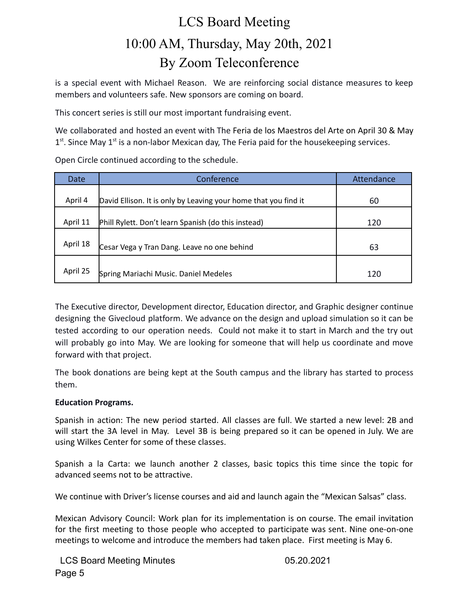is a special event with Michael Reason. We are reinforcing social distance measures to keep members and volunteers safe. New sponsors are coming on board.

This concert series is still our most important fundraising event.

We collaborated and hosted an event with The Feria de los Maestros del Arte on April 30 & May  $1<sup>st</sup>$ . Since May  $1<sup>st</sup>$  is a non-labor Mexican day, The Feria paid for the housekeeping services.

Open Circle continued according to the schedule.

| Date     | Conference                                                      | Attendance |  |  |  |
|----------|-----------------------------------------------------------------|------------|--|--|--|
|          |                                                                 |            |  |  |  |
| April 4  | David Ellison. It is only by Leaving your home that you find it | 60         |  |  |  |
| April 11 | Phill Rylett. Don't learn Spanish (do this instead)             | 120        |  |  |  |
| April 18 | Cesar Vega y Tran Dang. Leave no one behind                     | 63         |  |  |  |
| April 25 | Spring Mariachi Music. Daniel Medeles                           | 120        |  |  |  |

The Executive director, Development director, Education director, and Graphic designer continue designing the Givecloud platform. We advance on the design and upload simulation so it can be tested according to our operation needs. Could not make it to start in March and the try out will probably go into May. We are looking for someone that will help us coordinate and move forward with that project.

The book donations are being kept at the South campus and the library has started to process them.

### **Education Programs.**

Spanish in action: The new period started. All classes are full. We started a new level: 2B and will start the 3A level in May. Level 3B is being prepared so it can be opened in July. We are using Wilkes Center for some of these classes.

Spanish a la Carta: we launch another 2 classes, basic topics this time since the topic for advanced seems not to be attractive.

We continue with Driver's license courses and aid and launch again the "Mexican Salsas" class.

Mexican Advisory Council: Work plan for its implementation is on course. The email invitation for the first meeting to those people who accepted to participate was sent. Nine one-on-one meetings to welcome and introduce the members had taken place. First meeting is May 6.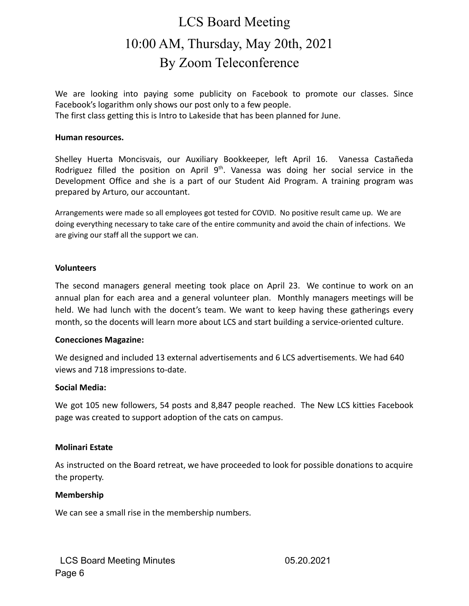We are looking into paying some publicity on Facebook to promote our classes. Since Facebook's logarithm only shows our post only to a few people.

The first class getting this is Intro to Lakeside that has been planned for June.

#### **Human resources.**

Shelley Huerta Moncisvais, our Auxiliary Bookkeeper, left April 16. Vanessa Castañeda Rodriguez filled the position on April  $9<sup>th</sup>$ . Vanessa was doing her social service in the Development Office and she is a part of our Student Aid Program. A training program was prepared by Arturo, our accountant.

Arrangements were made so all employees got tested for COVID. No positive result came up. We are doing everything necessary to take care of the entire community and avoid the chain of infections. We are giving our staff all the support we can.

#### **Volunteers**

The second managers general meeting took place on April 23. We continue to work on an annual plan for each area and a general volunteer plan. Monthly managers meetings will be held. We had lunch with the docent's team. We want to keep having these gatherings every month, so the docents will learn more about LCS and start building a service-oriented culture.

#### **Conecciones Magazine:**

We designed and included 13 external advertisements and 6 LCS advertisements. We had 640 views and 718 impressions to-date.

#### **Social Media:**

We got 105 new followers, 54 posts and 8,847 people reached. The New LCS kitties Facebook page was created to support adoption of the cats on campus.

#### **Molinari Estate**

As instructed on the Board retreat, we have proceeded to look for possible donations to acquire the property.

#### **Membership**

We can see a small rise in the membership numbers.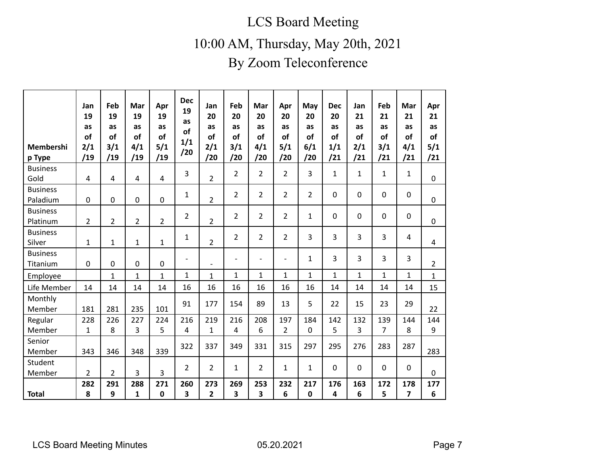## LCS Board Meeting

10:00 AM, Thursday, May 20th, 2021

## By Zoom Teleconference

| Membershi<br>p Type         | Jan<br>19<br>as<br>of<br>2/1<br>/19 | Feb<br>19<br>as<br><b>of</b><br>3/1<br>/19 | Mar<br>19<br>as<br><b>of</b><br>4/1<br>/19 | Apr<br>19<br>as<br><b>of</b><br>$5/1$<br>/19 | <b>Dec</b><br>19<br><b>as</b><br>of<br>1/1<br>/20 | Jan<br>20<br>as<br>of<br>2/1<br>/20 | Feb<br>20<br>as<br>of<br>3/1<br>/20 | Mar<br>20<br>as<br>of<br>4/1<br>/20 | Apr<br>20<br>as<br>of<br>$5/1$<br>/20 | May<br>20<br>as<br>of<br>6/1<br>/20 | <b>Dec</b><br>20<br>as<br>of<br>1/1<br>/21 | Jan<br>21<br>as<br><b>of</b><br>2/1<br>/21 | Feb<br>21<br>as<br>of<br>3/1<br>/21 | Mar<br>21<br>as<br>of<br>4/1<br>/21 | Apr<br>21<br>as<br><b>of</b><br>5/1<br>/21 |
|-----------------------------|-------------------------------------|--------------------------------------------|--------------------------------------------|----------------------------------------------|---------------------------------------------------|-------------------------------------|-------------------------------------|-------------------------------------|---------------------------------------|-------------------------------------|--------------------------------------------|--------------------------------------------|-------------------------------------|-------------------------------------|--------------------------------------------|
| <b>Business</b><br>Gold     | $\overline{4}$                      | 4                                          | $\overline{\mathbf{4}}$                    | $\overline{4}$                               | $\overline{3}$                                    | $\overline{2}$                      | $\overline{2}$                      | $\overline{2}$                      | $\overline{2}$                        | $\overline{3}$                      | $\mathbf{1}$                               | $\mathbf 1$                                | $\mathbf{1}$                        | $\mathbf{1}$                        | $\mathbf 0$                                |
| <b>Business</b><br>Paladium | $\mathbf 0$                         | 0                                          | $\pmb{0}$                                  | $\mathbf 0$                                  | $\mathbf{1}$                                      | $\overline{2}$                      | $\overline{2}$                      | $\overline{2}$                      | $\overline{2}$                        | $\overline{2}$                      | 0                                          | $\mathbf 0$                                | $\mathbf 0$                         | $\pmb{0}$                           | $\mathbf 0$                                |
| <b>Business</b><br>Platinum | $\overline{2}$                      | $\overline{2}$                             | $\overline{2}$                             | $\overline{2}$                               | 2                                                 | $\overline{2}$                      | $\overline{2}$                      | $\overline{2}$                      | $\overline{2}$                        | $\mathbf{1}$                        | 0                                          | $\mathbf 0$                                | $\mathbf 0$                         | $\mathbf 0$                         | $\mathbf 0$                                |
| <b>Business</b><br>Silver   | $\mathbf{1}$                        | $\mathbf{1}$                               | $\mathbf{1}$                               | $\mathbf{1}$                                 | $\mathbf{1}$                                      | $\overline{2}$                      | $\overline{2}$                      | $\overline{2}$                      | $\overline{2}$                        | $\overline{3}$                      | 3                                          | 3                                          | 3                                   | 4                                   | $\overline{4}$                             |
| <b>Business</b><br>Titanium | $\mathbf 0$                         | $\mathbf 0$                                | 0                                          | $\mathbf 0$                                  |                                                   |                                     | $\overline{\phantom{a}}$            | $\overline{a}$                      | $\overline{\phantom{a}}$              | $\mathbf{1}$                        | 3                                          | $\overline{3}$                             | 3                                   | 3                                   | $\overline{2}$                             |
| Employee                    |                                     | $\mathbf{1}$                               | $\mathbf{1}$                               | $\mathbf{1}$                                 | $\mathbf{1}$                                      | $\mathbf{1}$                        | $\mathbf{1}$                        | $\mathbf{1}$                        | $\mathbf{1}$                          | $\mathbf{1}$                        | $\mathbf{1}$                               | $\mathbf{1}$                               | $\mathbf{1}$                        | $\mathbf{1}$                        | $\mathbf{1}$                               |
| Life Member                 | 14                                  | 14                                         | 14                                         | 14                                           | 16                                                | 16                                  | 16                                  | 16                                  | 16                                    | 16                                  | 14                                         | 14                                         | 14                                  | 14                                  | 15                                         |
| Monthly<br>Member           | 181                                 | 281                                        | 235                                        | 101                                          | 91                                                | 177                                 | 154                                 | 89                                  | 13                                    | 5                                   | 22                                         | 15                                         | 23                                  | 29                                  | 22                                         |
| Regular<br>Member           | 228<br>$\mathbf{1}$                 | 226<br>8                                   | 227<br>3                                   | 224<br>5                                     | 216<br>$\overline{4}$                             | 219<br>$\mathbf{1}$                 | 216<br>4                            | 208<br>6                            | 197<br>$\overline{2}$                 | 184<br>$\mathbf 0$                  | 142<br>5                                   | 132<br>3                                   | 139<br>7                            | 144<br>8                            | 144<br>9                                   |
| Senior<br>Member            | 343                                 | 346                                        | 348                                        | 339                                          | 322                                               | 337                                 | 349                                 | 331                                 | 315                                   | 297                                 | 295                                        | 276                                        | 283                                 | 287                                 | 283                                        |
| Student<br>Member           | $\overline{2}$                      | $\overline{2}$                             | 3                                          | 3                                            | $\overline{2}$                                    | $\overline{2}$                      | $\mathbf{1}$                        | $\overline{2}$                      | $\mathbf{1}$                          | $\mathbf{1}$                        | 0                                          | 0                                          | $\mathbf 0$                         | $\pmb{0}$                           | $\mathbf 0$                                |
| <b>Total</b>                | 282<br>8                            | 291<br>9                                   | 288<br>1                                   | 271<br>$\pmb{0}$                             | 260<br>3                                          | 273<br>2                            | 269<br>3                            | 253<br>3                            | 232<br>6                              | 217<br>$\mathbf 0$                  | 176<br>4                                   | 163<br>6                                   | 172<br>5                            | 178<br>7                            | 177<br>6                                   |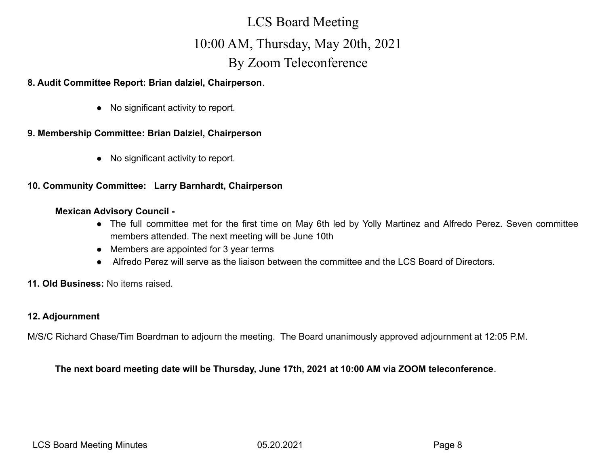### **8. Audit Committee Report: Brian dalziel, Chairperson**.

● No significant activity to report.

### **9. Membership Committee: Brian Dalziel, Chairperson**

● No significant activity to report.

### **10. Community Committee: Larry Barnhardt, Chairperson**

#### **Mexican Advisory Council -**

- The full committee met for the first time on May 6th led by Yolly Martinez and Alfredo Perez. Seven committee members attended. The next meeting will be June 10th
- Members are appointed for 3 year terms
- Alfredo Perez will serve as the liaison between the committee and the LCS Board of Directors.
- **11. Old Business:** No items raised.

### **12. Adjournment**

M/S/C Richard Chase/Tim Boardman to adjourn the meeting. The Board unanimously approved adjournment at 12:05 P.M.

### **The next board meeting date will be Thursday, June 17th, 2021 at 10:00 AM via ZOOM teleconference**.